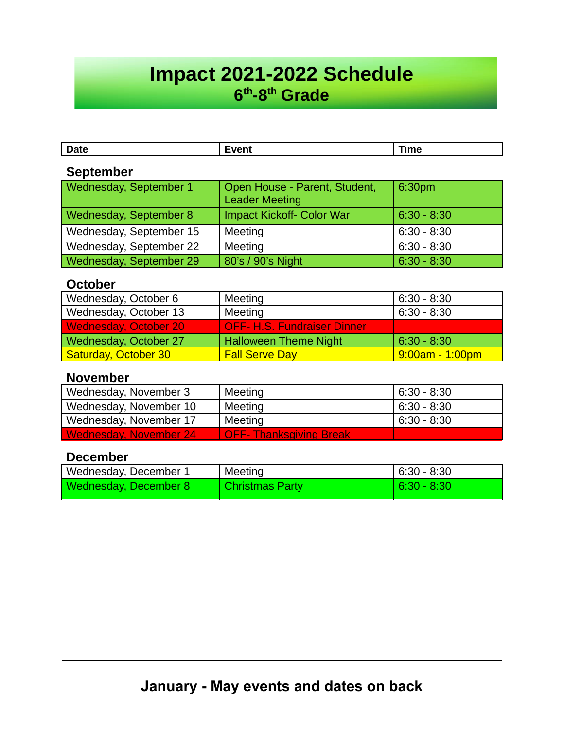# **Impact 2021-2022 Schedule 6 th -8th Grade**

| <b>Date</b>            | Event                                                  | Time   |
|------------------------|--------------------------------------------------------|--------|
| <b>September</b>       |                                                        |        |
| Wednesday, September 1 | Open House - Parent, Student,<br><b>Leader Meeting</b> | 6:30pm |
|                        |                                                        |        |

| Wednesday, September 8  | Impact Kickoff- Color War | 6:30 - 8:30   |
|-------------------------|---------------------------|---------------|
| Wednesday, September 15 | Meeting                   | 6:30 - 8:30   |
| Wednesday, September 22 | Meeting                   | l 6:30 - 8:30 |
| Wednesday, September 29 | 80's / 90's Night         | 6:30 - 8:30   |

## **October**

| Wednesday, October 6         | Meeting                            | $6:30 - 8:30$     |
|------------------------------|------------------------------------|-------------------|
| Wednesday, October 13        | Meeting                            | $6:30 - 8:30$     |
| <b>Wednesday, October 20</b> | <b>OFF- H.S. Fundraiser Dinner</b> |                   |
| Wednesday, October 27        | <b>Halloween Theme Night</b>       | $6:30 - 8:30$     |
| Saturday, October 30         | <b>Fall Serve Day</b>              | $9:00am - 1:00pm$ |

## **November**

| Wednesday, November 3  | Meeting                        | $6:30 - 8:30$ |
|------------------------|--------------------------------|---------------|
| Wednesday, November 10 | Meeting                        | $6:30 - 8:30$ |
| Wednesday, November 17 | Meeting                        | $6:30 - 8:30$ |
| Wednesday, November 24 | <b>OFF- Thanksgiving Break</b> |               |

## **December**

| Wednesday, December 1 | Meeting                | $6:30 - 8:30$ |
|-----------------------|------------------------|---------------|
| Wednesday, December 8 | <b>Christmas Party</b> | 6:30 - 8:30   |